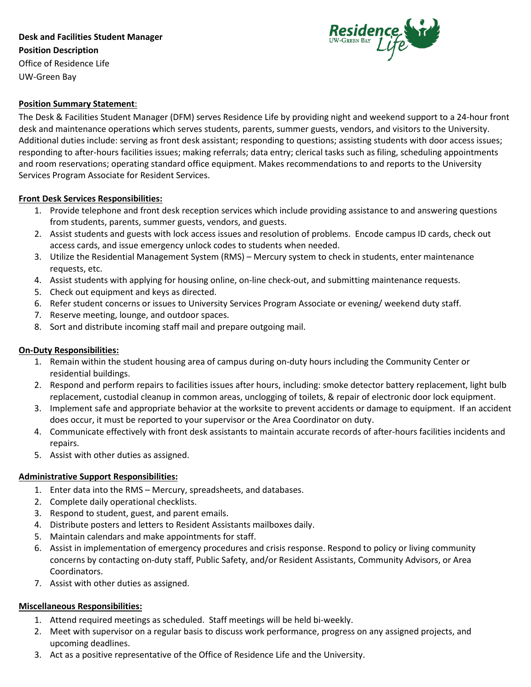# **Desk and Facilities Student Manager Position Description** Office of Residence Life



## **Position Summary Statement**:

UW-Green Bay

The Desk & Facilities Student Manager (DFM) serves Residence Life by providing night and weekend support to a 24-hour front desk and maintenance operations which serves students, parents, summer guests, vendors, and visitors to the University. Additional duties include: serving as front desk assistant; responding to questions; assisting students with door access issues; responding to after-hours facilities issues; making referrals; data entry; clerical tasks such as filing, scheduling appointments and room reservations; operating standard office equipment. Makes recommendations to and reports to the University Services Program Associate for Resident Services.

### **Front Desk Services Responsibilities:**

- 1. Provide telephone and front desk reception services which include providing assistance to and answering questions from students, parents, summer guests, vendors, and guests.
- 2. Assist students and guests with lock access issues and resolution of problems. Encode campus ID cards, check out access cards, and issue emergency unlock codes to students when needed.
- 3. Utilize the Residential Management System (RMS) Mercury system to check in students, enter maintenance requests, etc.
- 4. Assist students with applying for housing online, on-line check-out, and submitting maintenance requests.
- 5. Check out equipment and keys as directed.
- 6. Refer student concerns or issues to University Services Program Associate or evening/ weekend duty staff.
- 7. Reserve meeting, lounge, and outdoor spaces.
- 8. Sort and distribute incoming staff mail and prepare outgoing mail.

#### **On-Duty Responsibilities:**

- 1. Remain within the student housing area of campus during on-duty hours including the Community Center or residential buildings.
- 2. Respond and perform repairs to facilities issues after hours, including: smoke detector battery replacement, light bulb replacement, custodial cleanup in common areas, unclogging of toilets, & repair of electronic door lock equipment.
- 3. Implement safe and appropriate behavior at the worksite to prevent accidents or damage to equipment. If an accident does occur, it must be reported to your supervisor or the Area Coordinator on duty.
- 4. Communicate effectively with front desk assistants to maintain accurate records of after-hours facilities incidents and repairs.
- 5. Assist with other duties as assigned.

#### **Administrative Support Responsibilities:**

- 1. Enter data into the RMS Mercury, spreadsheets, and databases.
- 2. Complete daily operational checklists.
- 3. Respond to student, guest, and parent emails.
- 4. Distribute posters and letters to Resident Assistants mailboxes daily.
- 5. Maintain calendars and make appointments for staff.
- 6. Assist in implementation of emergency procedures and crisis response. Respond to policy or living community concerns by contacting on-duty staff, Public Safety, and/or Resident Assistants, Community Advisors, or Area Coordinators.
- 7. Assist with other duties as assigned.

## **Miscellaneous Responsibilities:**

- 1. Attend required meetings as scheduled. Staff meetings will be held bi-weekly.
- 2. Meet with supervisor on a regular basis to discuss work performance, progress on any assigned projects, and upcoming deadlines.
- 3. Act as a positive representative of the Office of Residence Life and the University.